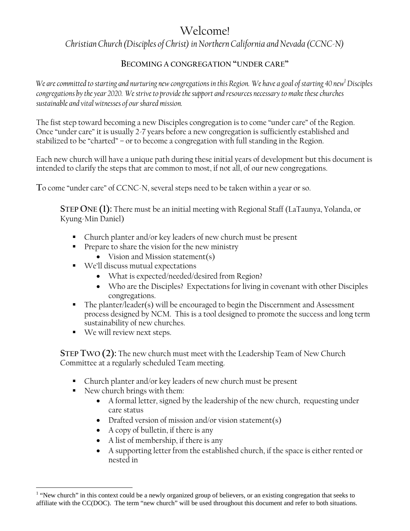## Welcome!

*Christian Church (Disciples of Christ) in Northern California and Nevada (CCNC-N)* 

## **BECOMING A CONGREGATION "UNDER CARE"**

We are committed to starting and nurturing new congregations in this Region. We have a goal of starting 40 new<sup>1</sup> Disciples *congregations by the year 2020. We strive to provide the support and resources necessary to make these churches sustainable and vital witnesses of our shared mission.* 

The fist step toward becoming a new Disciples congregation is to come "under care" of the Region. Once "under care" it is usually 2-7 years before a new congregation is sufficiently established and stabilized to be "charted" – or to become a congregation with full standing in the Region.

Each new church will have a unique path during these initial years of development but this document is intended to clarify the steps that are common to most, if not all, of our new congregations.

**T**o come "under care" of CCNC-N, several steps need to be taken within a year or so.

**STEP ONE (1):** There must be an initial meeting with Regional Staff (LaTaunya, Yolanda, or Kyung-Min Daniel)

- Church planter and/or key leaders of new church must be present
- **Prepare to share the vision for the new ministry** 
	- Vision and Mission statement(s)
- We'll discuss mutual expectations
	- What is expected/needed/desired from Region?
	- Who are the Disciples? Expectations for living in covenant with other Disciples congregations.
- The planter/leader(s) will be encouraged to begin the Discernment and Assessment process designed by NCM. This is a tool designed to promote the success and long term sustainability of new churches.
- We will review next steps.

**STEP TWO (2):** The new church must meet with the Leadership Team of New Church Committee at a regularly scheduled Team meeting.

- Church planter and/or key leaders of new church must be present
- New church brings with them:

 $\overline{a}$ 

- A formal letter, signed by the leadership of the new church, requesting under care status
- Drafted version of mission and/or vision statement(s)
- A copy of bulletin, if there is any
- A list of membership, if there is any
- A supporting letter from the established church, if the space is either rented or nested in

<sup>&</sup>lt;sup>1</sup> "New church" in this context could be a newly organized group of believers, or an existing congregation that seeks to affiliate with the CC(DOC). The term "new church" will be used throughout this document and refer to both situations.